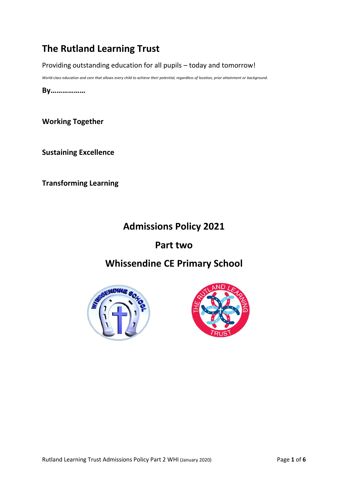# **The Rutland Learning Trust**

Providing outstanding education for all pupils – today and tomorrow!

*World-class education and care that allows every child to achieve their potential, regardless of location, prior attainment or background.*

**By………………**

**Working Together**

**Sustaining Excellence**

**Transforming Learning**

# **Admissions Policy 2021**

# **Part two**

# **Whissendine CE Primary School**



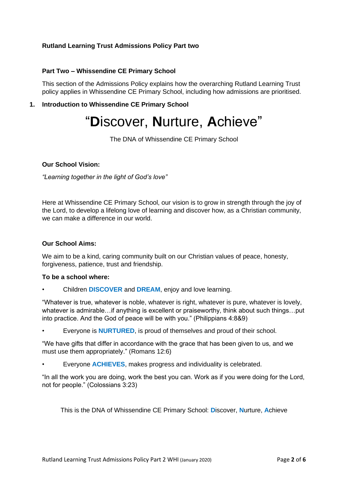## **Rutland Learning Trust Admissions Policy Part two**

## **Part Two – Whissendine CE Primary School**

This section of the Admissions Policy explains how the overarching Rutland Learning Trust policy applies in Whissendine CE Primary School, including how admissions are prioritised.

# **1. Introduction to Whissendine CE Primary School**

# "**D**iscover, **N**urture, **A**chieve"

The DNA of Whissendine CE Primary School

## **Our School Vision:**

*"Learning together in the light of God's love"*

Here at Whissendine CE Primary School, our vision is to grow in strength through the joy of the Lord, to develop a lifelong love of learning and discover how, as a Christian community, we can make a difference in our world.

#### **Our School Aims:**

We aim to be a kind, caring community built on our Christian values of peace, honesty, forgiveness, patience, trust and friendship.

#### **To be a school where:**

• Children **DISCOVER** and **DREAM**, enjoy and love learning.

"Whatever is true, whatever is noble, whatever is right, whatever is pure, whatever is lovely, whatever is admirable…if anything is excellent or praiseworthy, think about such things…put into practice. And the God of peace will be with you." (Philippians 4:8&9)

• Everyone is **NURTURED**, is proud of themselves and proud of their school.

"We have gifts that differ in accordance with the grace that has been given to us, and we must use them appropriately." (Romans 12:6)

• Everyone **ACHIEVES**, makes progress and individuality is celebrated.

"In all the work you are doing, work the best you can. Work as if you were doing for the Lord, not for people." (Colossians 3:23)

This is the DNA of Whissendine CE Primary School: **D**iscover, **N**urture, **A**chieve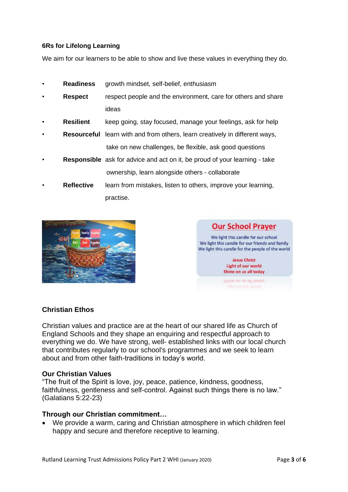# **6Rs for Lifelong Learning**

We aim for our learners to be able to show and live these values in everything they do.

- **Readiness** growth mindset, self-belief, enthusiasm
- **Respect** respect people and the environment, care for others and share ideas
- **Resilient** keep going, stay focused, manage your feelings, ask for help
- **Resourceful** learn with and from others, learn creatively in different ways, take on new challenges, be flexible, ask good questions
- **Responsible** ask for advice and act on it, be proud of your learning take ownership, learn alongside others - collaborate
	- **Reflective** learn from mistakes, listen to others, improve your learning, practise.





# **Christian Ethos**

Christian values and practice are at the heart of our shared life as Church of England Schools and they shape an enquiring and respectful approach to everything we do. We have strong, well- established links with our local church that contributes regularly to our school's programmes and we seek to learn about and from other faith-traditions in today's world.

## **Our Christian Values**

"The fruit of the Spirit is love, joy, peace, patience, kindness, goodness, faithfulness, gentleness and self-control. Against such things there is no law." (Galatians 5:22-23)

## **Through our Christian commitment…**

• We provide a warm, caring and Christian atmosphere in which children feel happy and secure and therefore receptive to learning.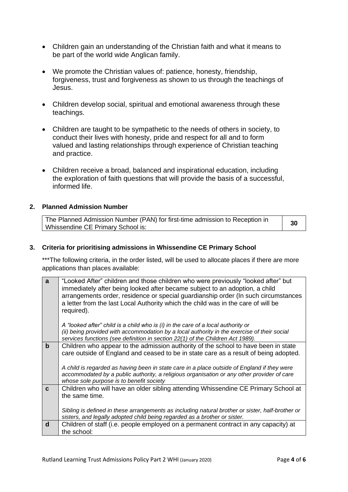- Children gain an understanding of the Christian faith and what it means to be part of the world wide Anglican family.
- We promote the Christian values of: patience, honesty, friendship, forgiveness, trust and forgiveness as shown to us through the teachings of Jesus.
- Children develop social, spiritual and emotional awareness through these teachings.
- Children are taught to be sympathetic to the needs of others in society, to conduct their lives with honesty, pride and respect for all and to form valued and lasting relationships through experience of Christian teaching and practice.
- Children receive a broad, balanced and inspirational education, including the exploration of faith questions that will provide the basis of a successful, informed life.

#### **2. Planned Admission Number**

| The Planned Admission Number (PAN) for first-time admission to Reception in | 30 |
|-----------------------------------------------------------------------------|----|
| Whissendine CE Primary School is:                                           |    |

#### **3. Criteria for prioritising admissions in Whissendine CE Primary School**

\*\*\*The following criteria, in the order listed, will be used to allocate places if there are more applications than places available:

| a           | "Looked After" children and those children who were previously "looked after" but                |
|-------------|--------------------------------------------------------------------------------------------------|
|             | immediately after being looked after became subject to an adoption, a child                      |
|             | arrangements order, residence or special guardianship order (In such circumstances               |
|             | a letter from the last Local Authority which the child was in the care of will be                |
|             | required).                                                                                       |
|             |                                                                                                  |
|             | A "looked after" child is a child who is (i) in the care of a local authority or                 |
|             | (ii) being provided with accommodation by a local authority in the exercise of their social      |
|             | services functions (see definition in section 22(1) of the Children Act 1989).                   |
| $\mathbf b$ | Children who appear to the admission authority of the school to have been in state               |
|             | care outside of England and ceased to be in state care as a result of being adopted.             |
|             |                                                                                                  |
|             | A child is regarded as having been in state care in a place outside of England if they were      |
|             | accommodated by a public authority, a religious organisation or any other provider of care       |
|             | whose sole purpose is to benefit society                                                         |
| C           | Children who will have an older sibling attending Whissendine CE Primary School at               |
|             | the same time.                                                                                   |
|             |                                                                                                  |
|             | Sibling is defined in these arrangements as including natural brother or sister, half-brother or |
|             | sisters, and legally adopted child being regarded as a brother or sister.                        |
| d           | Children of staff (i.e. people employed on a permanent contract in any capacity) at              |
|             | the school:                                                                                      |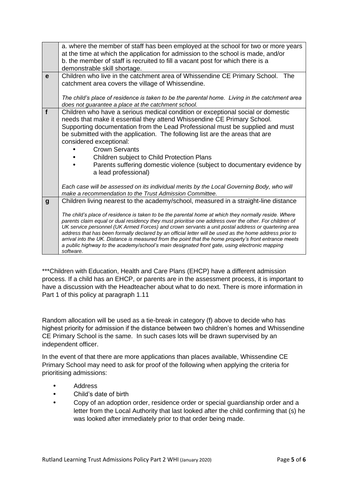|                  | a. where the member of staff has been employed at the school for two or more years<br>at the time at which the application for admission to the school is made, and/or                                                                                                                                                                                                                                                                                                                                                                                                                                                                                                                                                                         |
|------------------|------------------------------------------------------------------------------------------------------------------------------------------------------------------------------------------------------------------------------------------------------------------------------------------------------------------------------------------------------------------------------------------------------------------------------------------------------------------------------------------------------------------------------------------------------------------------------------------------------------------------------------------------------------------------------------------------------------------------------------------------|
|                  | b. the member of staff is recruited to fill a vacant post for which there is a<br>demonstrable skill shortage.                                                                                                                                                                                                                                                                                                                                                                                                                                                                                                                                                                                                                                 |
| e                | Children who live in the catchment area of Whissendine CE Primary School. The<br>catchment area covers the village of Whissendine.                                                                                                                                                                                                                                                                                                                                                                                                                                                                                                                                                                                                             |
|                  | The child's place of residence is taken to be the parental home. Living in the catchment area<br>does not guarantee a place at the catchment school.                                                                                                                                                                                                                                                                                                                                                                                                                                                                                                                                                                                           |
| f                | Children who have a serious medical condition or exceptional social or domestic<br>needs that make it essential they attend Whissendine CE Primary School.<br>Supporting documentation from the Lead Professional must be supplied and must<br>be submitted with the application. The following list are the areas that are<br>considered exceptional:<br><b>Crown Servants</b><br>Children subject to Child Protection Plans<br>Parents suffering domestic violence (subject to documentary evidence by<br>a lead professional)                                                                                                                                                                                                               |
|                  | Each case will be assessed on its individual merits by the Local Governing Body, who will<br>make a recommendation to the Trust Admission Committee.                                                                                                                                                                                                                                                                                                                                                                                                                                                                                                                                                                                           |
| $\boldsymbol{g}$ | Children living nearest to the academy/school, measured in a straight-line distance<br>The child's place of residence is taken to be the parental home at which they normally reside. Where<br>parents claim equal or dual residency they must prioritise one address over the other. For children of<br>UK service personnel (UK Armed Forces) and crown servants a unit postal address or quartering area<br>address that has been formally declared by an official letter will be used as the home address prior to<br>arrival into the UK. Distance is measured from the point that the home property's front entrance meets<br>a public highway to the academy/school's main designated front gate, using electronic mapping<br>software. |

\*\*\*Children with Education, Health and Care Plans (EHCP) have a different admission process. If a child has an EHCP, or parents are in the assessment process, it is important to have a discussion with the Headteacher about what to do next. There is more information in Part 1 of this policy at paragraph 1.11

Random allocation will be used as a tie-break in category (f) above to decide who has highest priority for admission if the distance between two children's homes and Whissendine CE Primary School is the same. In such cases lots will be drawn supervised by an independent officer.

In the event of that there are more applications than places available, Whissendine CE Primary School may need to ask for proof of the following when applying the criteria for prioritising admissions:

- Address
- Child's date of birth
- Copy of an adoption order, residence order or special guardianship order and a letter from the Local Authority that last looked after the child confirming that (s) he was looked after immediately prior to that order being made.